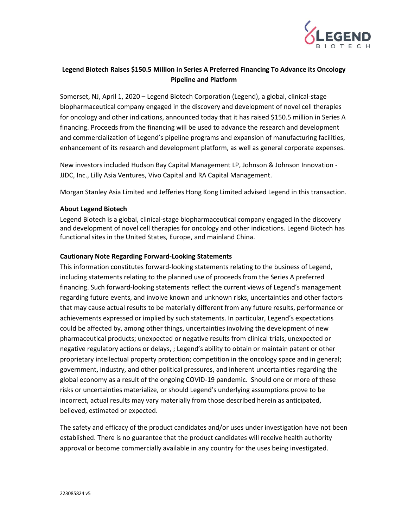

## **Legend Biotech Raises \$150.5 Million in Series A Preferred Financing To Advance its Oncology Pipeline and Platform**

Somerset, NJ, April 1, 2020 – Legend Biotech Corporation (Legend), a global, clinical-stage biopharmaceutical company engaged in the discovery and development of novel cell therapies for oncology and other indications, announced today that it has raised \$150.5 million in Series A financing. Proceeds from the financing will be used to advance the research and development and commercialization of Legend's pipeline programs and expansion of manufacturing facilities, enhancement of its research and development platform, as well as general corporate expenses.

New investors included Hudson Bay Capital Management LP, Johnson & Johnson Innovation - JJDC, Inc., Lilly Asia Ventures, Vivo Capital and RA Capital Management.

Morgan Stanley Asia Limited and Jefferies Hong Kong Limited advised Legend in this transaction.

## **About Legend Biotech**

Legend Biotech is a global, clinical-stage biopharmaceutical company engaged in the discovery and development of novel cell therapies for oncology and other indications. Legend Biotech has functional sites in the United States, Europe, and mainland China.

## **Cautionary Note Regarding Forward-Looking Statements**

This information constitutes forward-looking statements relating to the business of Legend, including statements relating to the planned use of proceeds from the Series A preferred financing. Such forward-looking statements reflect the current views of Legend's management regarding future events, and involve known and unknown risks, uncertainties and other factors that may cause actual results to be materially different from any future results, performance or achievements expressed or implied by such statements. In particular, Legend's expectations could be affected by, among other things, uncertainties involving the development of new pharmaceutical products; unexpected or negative results from clinical trials, unexpected or negative regulatory actions or delays, ; Legend's ability to obtain or maintain patent or other proprietary intellectual property protection; competition in the oncology space and in general; government, industry, and other political pressures, and inherent uncertainties regarding the global economy as a result of the ongoing COVID-19 pandemic. Should one or more of these risks or uncertainties materialize, or should Legend's underlying assumptions prove to be incorrect, actual results may vary materially from those described herein as anticipated, believed, estimated or expected.

The safety and efficacy of the product candidates and/or uses under investigation have not been established. There is no guarantee that the product candidates will receive health authority approval or become commercially available in any country for the uses being investigated.